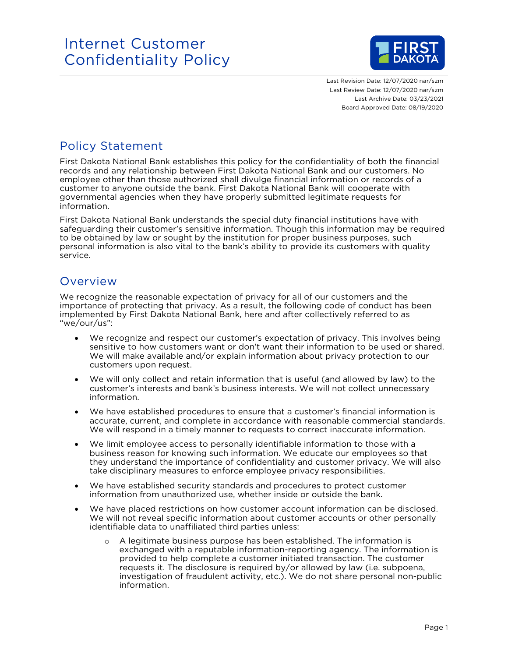

Last Revision Date: 12/07/2020 nar/szm Last Review Date: 12/07/2020 nar/szm Last Archive Date: 03/23/2021 Board Approved Date: 08/19/2020

## Policy Statement

First Dakota National Bank establishes this policy for the confidentiality of both the financial records and any relationship between First Dakota National Bank and our customers. No employee other than those authorized shall divulge financial information or records of a customer to anyone outside the bank. First Dakota National Bank will cooperate with governmental agencies when they have properly submitted legitimate requests for information.

First Dakota National Bank understands the special duty financial institutions have with safeguarding their customer's sensitive information. Though this information may be required to be obtained by law or sought by the institution for proper business purposes, such personal information is also vital to the bank's ability to provide its customers with quality service.

## **Overview**

We recognize the reasonable expectation of privacy for all of our customers and the importance of protecting that privacy. As a result, the following code of conduct has been implemented by First Dakota National Bank, here and after collectively referred to as "we/our/us":

- We recognize and respect our customer's expectation of privacy. This involves being sensitive to how customers want or don't want their information to be used or shared. We will make available and/or explain information about privacy protection to our customers upon request.
- We will only collect and retain information that is useful (and allowed by law) to the customer's interests and bank's business interests. We will not collect unnecessary information.
- We have established procedures to ensure that a customer's financial information is accurate, current, and complete in accordance with reasonable commercial standards. We will respond in a timely manner to requests to correct inaccurate information.
- We limit employee access to personally identifiable information to those with a business reason for knowing such information. We educate our employees so that they understand the importance of confidentiality and customer privacy. We will also take disciplinary measures to enforce employee privacy responsibilities.
- We have established security standards and procedures to protect customer information from unauthorized use, whether inside or outside the bank.
- We have placed restrictions on how customer account information can be disclosed. We will not reveal specific information about customer accounts or other personally identifiable data to unaffiliated third parties unless:
	- o A legitimate business purpose has been established. The information is exchanged with a reputable information-reporting agency. The information is provided to help complete a customer initiated transaction. The customer requests it. The disclosure is required by/or allowed by law (i.e. subpoena, investigation of fraudulent activity, etc.). We do not share personal non-public information.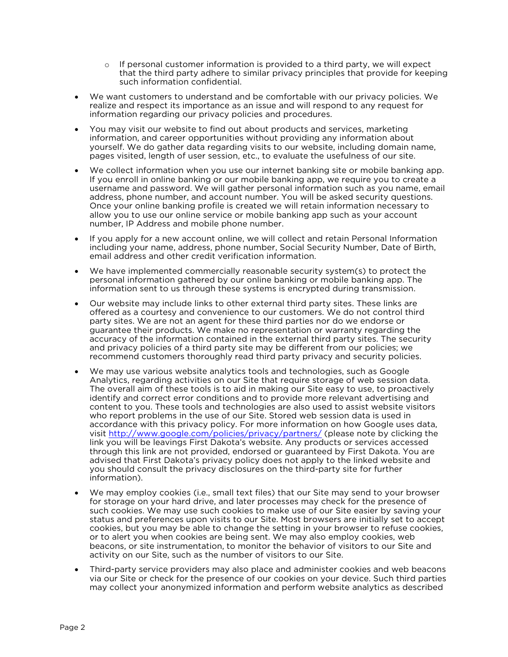- $\circ$  If personal customer information is provided to a third party, we will expect that the third party adhere to similar privacy principles that provide for keeping such information confidential.
- We want customers to understand and be comfortable with our privacy policies. We realize and respect its importance as an issue and will respond to any request for information regarding our privacy policies and procedures.
- You may visit our website to find out about products and services, marketing information, and career opportunities without providing any information about yourself. We do gather data regarding visits to our website, including domain name, pages visited, length of user session, etc., to evaluate the usefulness of our site.
- We collect information when you use our internet banking site or mobile banking app. If you enroll in online banking or our mobile banking app, we require you to create a username and password. We will gather personal information such as you name, email address, phone number, and account number. You will be asked security questions. Once your online banking profile is created we will retain information necessary to allow you to use our online service or mobile banking app such as your account number, IP Address and mobile phone number.
- If you apply for a new account online, we will collect and retain Personal Information including your name, address, phone number, Social Security Number, Date of Birth, email address and other credit verification information.
- We have implemented commercially reasonable security system(s) to protect the personal information gathered by our online banking or mobile banking app. The information sent to us through these systems is encrypted during transmission.
- Our website may include links to other external third party sites. These links are offered as a courtesy and convenience to our customers. We do not control third party sites. We are not an agent for these third parties nor do we endorse or guarantee their products. We make no representation or warranty regarding the accuracy of the information contained in the external third party sites. The security and privacy policies of a third party site may be different from our policies; we recommend customers thoroughly read third party privacy and security policies.
- We may use various website analytics tools and technologies, such as Google Analytics, regarding activities on our Site that require storage of web session data. The overall aim of these tools is to aid in making our Site easy to use, to proactively identify and correct error conditions and to provide more relevant advertising and content to you. These tools and technologies are also used to assist website visitors who report problems in the use of our Site. Stored web session data is used in accordance with this privacy policy. For more information on how Google uses data, visit<http://www.google.com/policies/privacy/partners/> (please note by clicking the link you will be leavings First Dakota's website. Any products or services accessed through this link are not provided, endorsed or guaranteed by First Dakota. You are advised that First Dakota's privacy policy does not apply to the linked website and you should consult the privacy disclosures on the third-party site for further information).
- We may employ cookies (i.e., small text files) that our Site may send to your browser for storage on your hard drive, and later processes may check for the presence of such cookies. We may use such cookies to make use of our Site easier by saving your status and preferences upon visits to our Site. Most browsers are initially set to accept cookies, but you may be able to change the setting in your browser to refuse cookies, or to alert you when cookies are being sent. We may also employ cookies, web beacons, or site instrumentation, to monitor the behavior of visitors to our Site and activity on our Site, such as the number of visitors to our Site.
- Third-party service providers may also place and administer cookies and web beacons via our Site or check for the presence of our cookies on your device. Such third parties may collect your anonymized information and perform website analytics as described